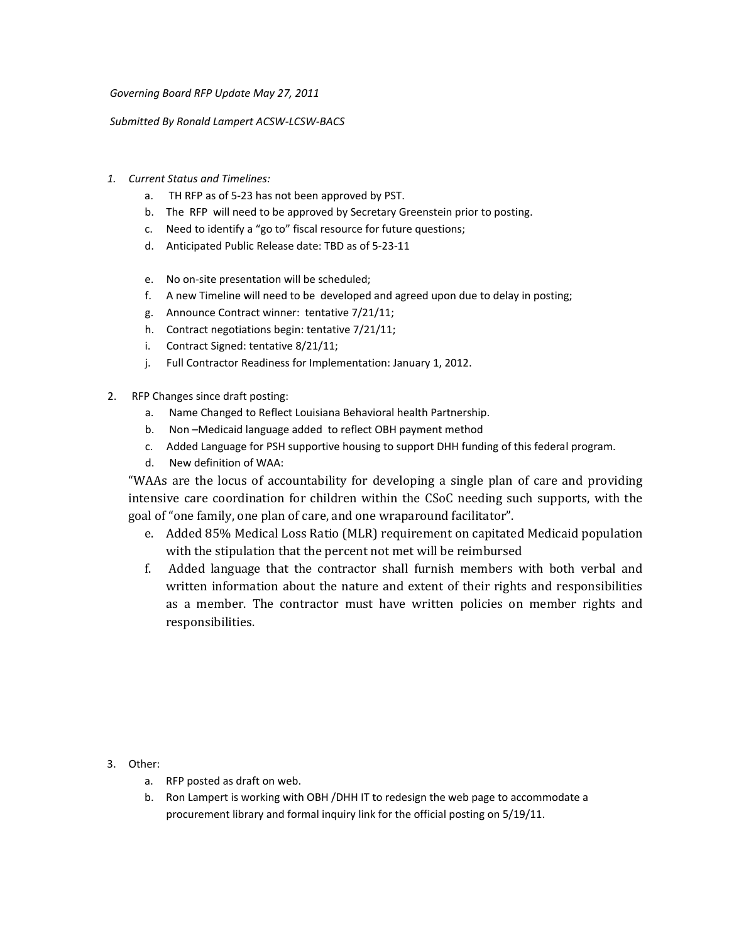*Governing Board RFP Update May 27, 2011*

*Submitted By Ronald Lampert ACSW‐LCSW‐BACS*

- *1. Current Status and Timelines:*
	- a. TH RFP as of 5‐23 has not been approved by PST.
	- b. The RFP will need to be approved by Secretary Greenstein prior to posting.
	- c. Need to identify a "go to" fiscal resource for future questions;
	- d. Anticipated Public Release date: TBD as of 5‐23‐11
	- e. No on‐site presentation will be scheduled;
	- f. A new Timeline will need to be developed and agreed upon due to delay in posting;
	- g. Announce Contract winner: tentative 7/21/11;
	- h. Contract negotiations begin: tentative 7/21/11;
	- i. Contract Signed: tentative 8/21/11;
	- j. Full Contractor Readiness for Implementation: January 1, 2012.
- 2. RFP Changes since draft posting:
	- a. Name Changed to Reflect Louisiana Behavioral health Partnership.
	- b. Non –Medicaid language added to reflect OBH payment method
	- c. Added Language for PSH supportive housing to support DHH funding of this federal program.
	- d. New definition of WAA:

"WAAs are the locus of accountability for developing a single plan of care and providing intensive care coordination for children within the CSoC needing such supports, with the goa l of "one family, one plan of care, and one wraparound facilitator".

- e. Added 85% Medical Loss Ratio (MLR) requirement on capitated Medicaid population with the stipulation that the percent not met will be reimbursed
- f. Added language that the contractor shall furnish members with both verbal and written information about the nature and extent of their rights and responsibilities as a member. The contractor must have written policies on member rights and responsibilities.

3. Other:

- a. RFP posted as draft on web.
- b. Ron Lampert is working with OBH /DHH IT to redesign the web page to accommodate a procurement library and formal inquiry link for the official posting on 5/19/11.